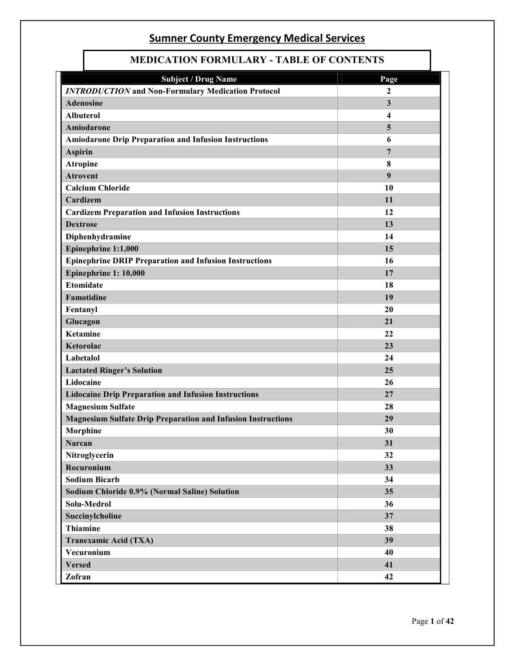L

| MEDICATION FONMULANT - TADLE OF CONTENTS                            |                         |  |
|---------------------------------------------------------------------|-------------------------|--|
| <b>Subject / Drug Name</b>                                          | Page                    |  |
| <b>INTRODUCTION</b> and Non-Formulary Medication Protocol           | $\overline{2}$          |  |
| <b>Adenosine</b>                                                    | $\mathbf{3}$            |  |
| <b>Albuterol</b>                                                    | $\overline{\mathbf{4}}$ |  |
| Amiodarone                                                          | 5                       |  |
| <b>Amiodarone Drip Preparation and Infusion Instructions</b>        | 6                       |  |
| <b>Aspirin</b>                                                      | $7\phantom{.0}$         |  |
| <b>Atropine</b>                                                     | 8                       |  |
| <b>Atrovent</b>                                                     | 9                       |  |
| <b>Calcium Chloride</b>                                             | 10                      |  |
| Cardizem                                                            | 11                      |  |
| <b>Cardizem Preparation and Infusion Instructions</b>               | 12                      |  |
| <b>Dextrose</b>                                                     | 13                      |  |
| Diphenhydramine                                                     | 14                      |  |
| Epinephrine 1:1,000                                                 | 15                      |  |
| <b>Epinephrine DRIP Preparation and Infusion Instructions</b>       | 16                      |  |
| Epinephrine 1: 10,000                                               | 17                      |  |
| <b>Etomidate</b>                                                    | 18                      |  |
| Famotidine                                                          | 19                      |  |
| Fentanyl                                                            | 20                      |  |
| Glucagon                                                            | 21                      |  |
| <b>Ketamine</b>                                                     | 22                      |  |
| Ketorolac                                                           | 23                      |  |
| Labetalol                                                           | 24                      |  |
| <b>Lactated Ringer's Solution</b>                                   | 25                      |  |
| Lidocaine                                                           | 26                      |  |
| <b>Lidocaine Drip Preparation and Infusion Instructions</b>         | 27                      |  |
| <b>Magnesium Sulfate</b>                                            | 28                      |  |
| <b>Magnesium Sulfate Drip Preparation and Infusion Instructions</b> | 29                      |  |
| Morphine                                                            | 30                      |  |
| <b>Narcan</b>                                                       | 31                      |  |
| Nitroglycerin                                                       | 32                      |  |
| Rocuronium                                                          | 33                      |  |
| <b>Sodium Bicarb</b>                                                | 34                      |  |
| Sodium Chloride 0.9% (Normal Saline) Solution                       | 35                      |  |
| Solu-Medrol                                                         | 36                      |  |
| Succinylcholine                                                     | 37                      |  |
| <b>Thiamine</b>                                                     | 38                      |  |
| Tranexamic Acid (TXA)                                               | 39                      |  |
| Vecuronium                                                          | 40                      |  |
| <b>Versed</b>                                                       | 41                      |  |
| Zofran                                                              | 42                      |  |

 $\mathbf{I}$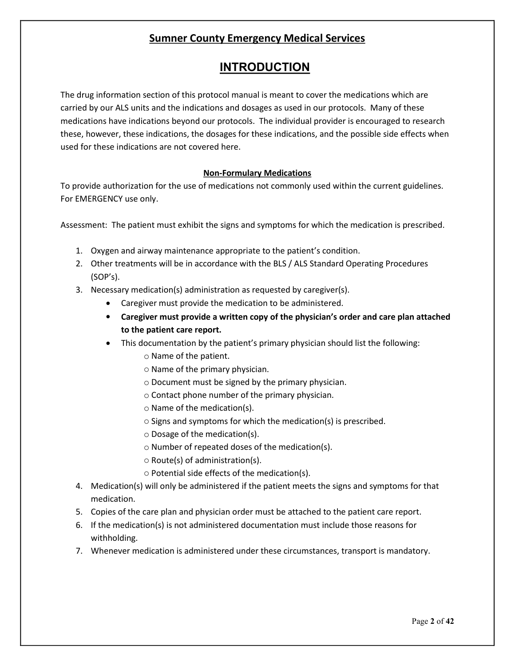### **INTRODUCTION**

The drug information section of this protocol manual is meant to cover the medications which are carried by our ALS units and the indications and dosages as used in our protocols. Many of these medications have indications beyond our protocols. The individual provider is encouraged to research these, however, these indications, the dosages for these indications, and the possible side effects when used for these indications are not covered here.

#### **Non-Formulary Medications**

To provide authorization for the use of medications not commonly used within the current guidelines. For EMERGENCY use only.

Assessment: The patient must exhibit the signs and symptoms for which the medication is prescribed.

- 1. Oxygen and airway maintenance appropriate to the patient's condition.
- 2. Other treatments will be in accordance with the BLS / ALS Standard Operating Procedures (SOP's).
- 3. Necessary medication(s) administration as requested by caregiver(s).
	- Caregiver must provide the medication to be administered.
	- **Caregiver must provide a written copy of the physician's order and care plan attached to the patient care report.**
	- This documentation by the patient's primary physician should list the following:
		- o Name of the patient.
		- o Name of the primary physician.
		- o Document must be signed by the primary physician.
		- o Contact phone number of the primary physician.
		- o Name of the medication(s).
		- o Signs and symptoms for which the medication(s) is prescribed.
		- o Dosage of the medication(s).
		- o Number of repeated doses of the medication(s).
		- o Route(s) of administration(s).
		- o Potential side effects of the medication(s).
- 4. Medication(s) will only be administered if the patient meets the signs and symptoms for that medication.
- 5. Copies of the care plan and physician order must be attached to the patient care report.
- 6. If the medication(s) is not administered documentation must include those reasons for withholding.
- 7. Whenever medication is administered under these circumstances, transport is mandatory.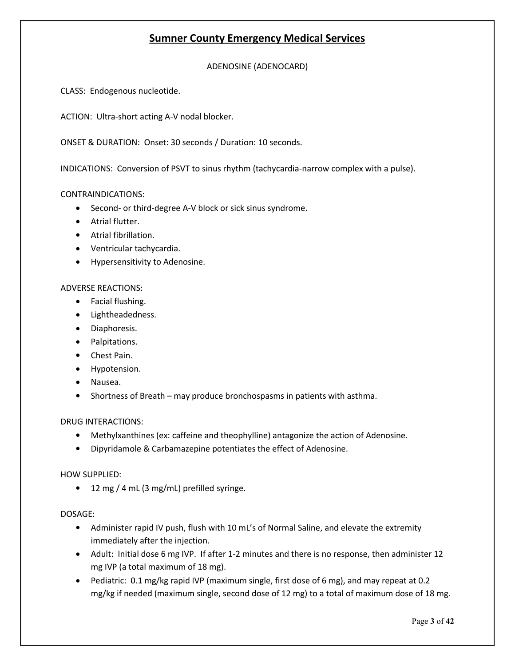ADENOSINE (ADENOCARD)

CLASS: Endogenous nucleotide.

ACTION: Ultra-short acting A-V nodal blocker.

ONSET & DURATION: Onset: 30 seconds / Duration: 10 seconds.

INDICATIONS: Conversion of PSVT to sinus rhythm (tachycardia-narrow complex with a pulse).

#### CONTRAINDICATIONS:

- Second- or third-degree A-V block or sick sinus syndrome.
- Atrial flutter.
- Atrial fibrillation.
- Ventricular tachycardia.
- Hypersensitivity to Adenosine.

#### ADVERSE REACTIONS:

- Facial flushing.
- Lightheadedness.
- Diaphoresis.
- Palpitations.
- Chest Pain.
- Hypotension.
- Nausea.
- Shortness of Breath may produce bronchospasms in patients with asthma.

#### DRUG INTERACTIONS:

- Methylxanthines (ex: caffeine and theophylline) antagonize the action of Adenosine.
- Dipyridamole & Carbamazepine potentiates the effect of Adenosine.

#### HOW SUPPLIED:

• 12 mg / 4 mL (3 mg/mL) prefilled syringe.

- Administer rapid IV push, flush with 10 mL's of Normal Saline, and elevate the extremity immediately after the injection.
- Adult: Initial dose 6 mg IVP. If after 1-2 minutes and there is no response, then administer 12 mg IVP (a total maximum of 18 mg).
- Pediatric: 0.1 mg/kg rapid IVP (maximum single, first dose of 6 mg), and may repeat at 0.2 mg/kg if needed (maximum single, second dose of 12 mg) to a total of maximum dose of 18 mg.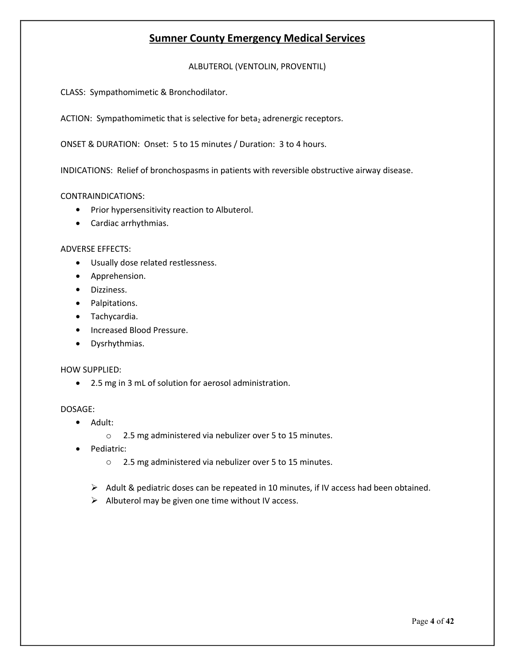ALBUTEROL (VENTOLIN, PROVENTIL)

CLASS: Sympathomimetic & Bronchodilator.

ACTION: Sympathomimetic that is selective for beta<sub>2</sub> adrenergic receptors.

ONSET & DURATION: Onset: 5 to 15 minutes / Duration: 3 to 4 hours.

INDICATIONS: Relief of bronchospasms in patients with reversible obstructive airway disease.

#### CONTRAINDICATIONS:

- Prior hypersensitivity reaction to Albuterol.
- Cardiac arrhythmias.

#### ADVERSE EFFECTS:

- Usually dose related restlessness.
- **•** Apprehension.
- **•** Dizziness.
- Palpitations.
- Tachycardia.
- Increased Blood Pressure.
- Dysrhythmias.

#### HOW SUPPLIED:

2.5 mg in 3 mL of solution for aerosol administration.

- Adult:
	- o 2.5 mg administered via nebulizer over 5 to 15 minutes.
- Pediatric:
	- o 2.5 mg administered via nebulizer over 5 to 15 minutes.
	- $\triangleright$  Adult & pediatric doses can be repeated in 10 minutes, if IV access had been obtained.
	- $\triangleright$  Albuterol may be given one time without IV access.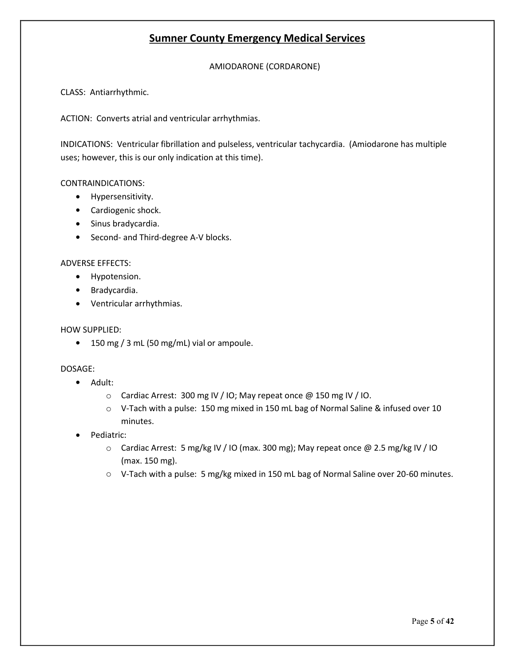AMIODARONE (CORDARONE)

CLASS: Antiarrhythmic.

ACTION: Converts atrial and ventricular arrhythmias.

INDICATIONS: Ventricular fibrillation and pulseless, ventricular tachycardia. (Amiodarone has multiple uses; however, this is our only indication at this time).

#### CONTRAINDICATIONS:

- **•** Hypersensitivity.
- Cardiogenic shock.
- Sinus bradycardia.
- Second- and Third-degree A-V blocks.

#### ADVERSE EFFECTS:

- Hypotension.
- Bradycardia.
- Ventricular arrhythmias.

#### HOW SUPPLIED:

• 150 mg / 3 mL (50 mg/mL) vial or ampoule.

- Adult:
	- o Cardiac Arrest: 300 mg IV / IO; May repeat once @ 150 mg IV / IO.
	- $\circ$  V-Tach with a pulse: 150 mg mixed in 150 mL bag of Normal Saline & infused over 10 minutes.
- Pediatric:
	- o Cardiac Arrest: 5 mg/kg IV / IO (max. 300 mg); May repeat once @ 2.5 mg/kg IV / IO (max. 150 mg).
	- $\circ$  V-Tach with a pulse: 5 mg/kg mixed in 150 mL bag of Normal Saline over 20-60 minutes.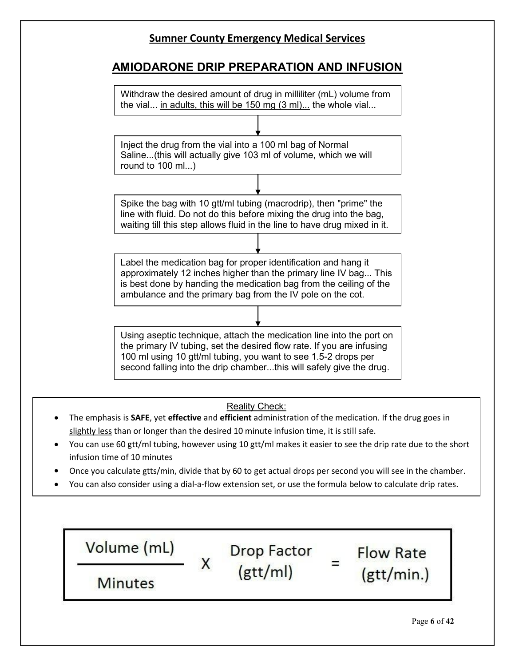### **AMIODARONE DRIP PREPARATION AND INFUSION**



- You can use 60 gtt/ml tubing, however using 10 gtt/ml makes it easier to see the drip rate due to the short infusion time of 10 minutes
- Once you calculate gtts/min, divide that by 60 to get actual drops per second you will see in the chamber.
- You can also consider using a dial-a-flow extension set, or use the formula below to calculate drip rates.

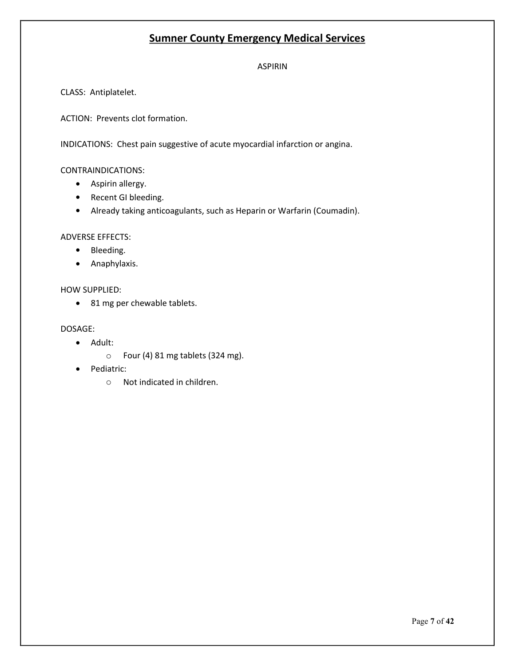ASPIRIN

CLASS: Antiplatelet.

ACTION: Prevents clot formation.

INDICATIONS: Chest pain suggestive of acute myocardial infarction or angina.

#### CONTRAINDICATIONS:

- Aspirin allergy.
- Recent GI bleeding.
- Already taking anticoagulants, such as Heparin or Warfarin (Coumadin).

#### ADVERSE EFFECTS:

- Bleeding.
- Anaphylaxis.

#### HOW SUPPLIED:

• 81 mg per chewable tablets.

- Adult:
	- o Four (4) 81 mg tablets (324 mg).
- Pediatric:
	- o Not indicated in children.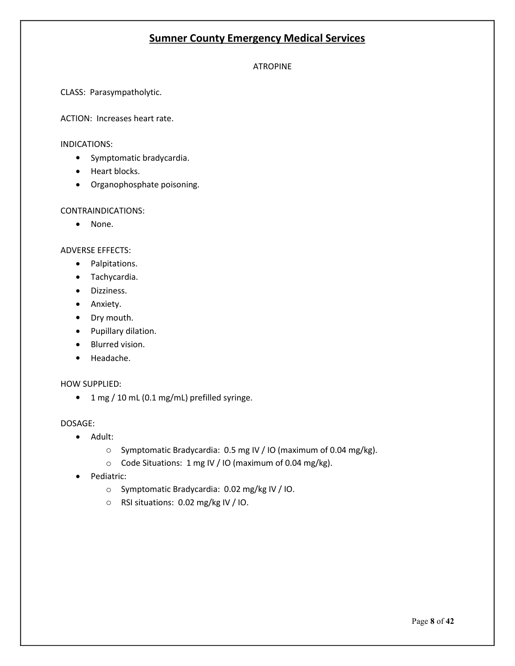#### ATROPINE

CLASS: Parasympatholytic.

ACTION: Increases heart rate.

#### INDICATIONS:

- Symptomatic bradycardia.
- Heart blocks.
- Organophosphate poisoning.

#### CONTRAINDICATIONS:

• None.

#### ADVERSE EFFECTS:

- Palpitations.
- Tachycardia.
- Dizziness.
- Anxiety.
- Dry mouth.
- Pupillary dilation.
- Blurred vision.
- Headache.

#### HOW SUPPLIED:

1 mg / 10 mL (0.1 mg/mL) prefilled syringe.

- Adult:
	- o Symptomatic Bradycardia: 0.5 mg IV / IO (maximum of 0.04 mg/kg).
	- o Code Situations: 1 mg IV / IO (maximum of 0.04 mg/kg).
- Pediatric:
	- o Symptomatic Bradycardia: 0.02 mg/kg IV / IO.
	- o RSI situations: 0.02 mg/kg IV / IO.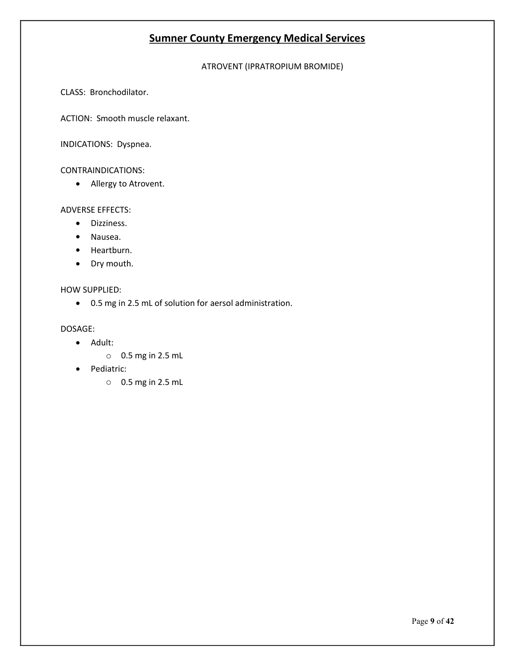#### ATROVENT (IPRATROPIUM BROMIDE)

CLASS: Bronchodilator.

ACTION: Smooth muscle relaxant.

INDICATIONS: Dyspnea.

#### CONTRAINDICATIONS:

Allergy to Atrovent.

#### ADVERSE EFFECTS:

- **•** Dizziness.
- Nausea.
- Heartburn.
- Dry mouth.

#### HOW SUPPLIED:

0.5 mg in 2.5 mL of solution for aersol administration.

- Adult:
	- o 0.5 mg in 2.5 mL
- Pediatric:
	- o 0.5 mg in 2.5 mL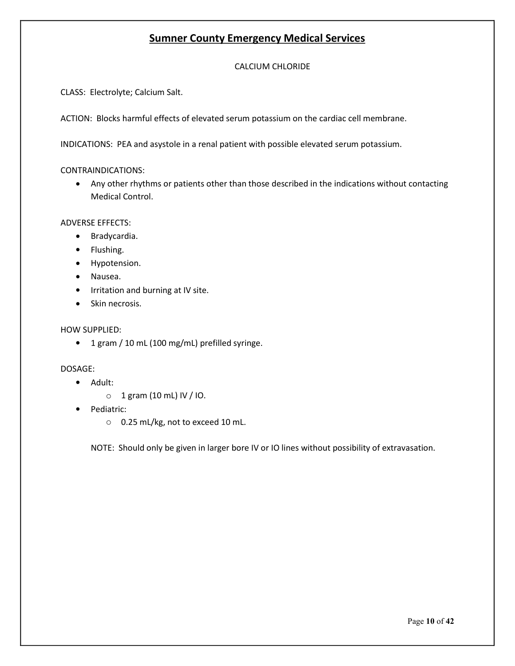#### CALCIUM CHLORIDE

CLASS: Electrolyte; Calcium Salt.

ACTION: Blocks harmful effects of elevated serum potassium on the cardiac cell membrane.

INDICATIONS: PEA and asystole in a renal patient with possible elevated serum potassium.

CONTRAINDICATIONS:

 Any other rhythms or patients other than those described in the indications without contacting Medical Control.

ADVERSE EFFECTS:

- Bradycardia.
- Flushing.
- Hypotension.
- Nausea.
- Irritation and burning at IV site.
- Skin necrosis.

#### HOW SUPPLIED:

• 1 gram / 10 mL (100 mg/mL) prefilled syringe.

#### DOSAGE:

- Adult:
	- $\circ$  1 gram (10 mL) IV / IO.
- Pediatric:
	- o 0.25 mL/kg, not to exceed 10 mL.

NOTE: Should only be given in larger bore IV or IO lines without possibility of extravasation.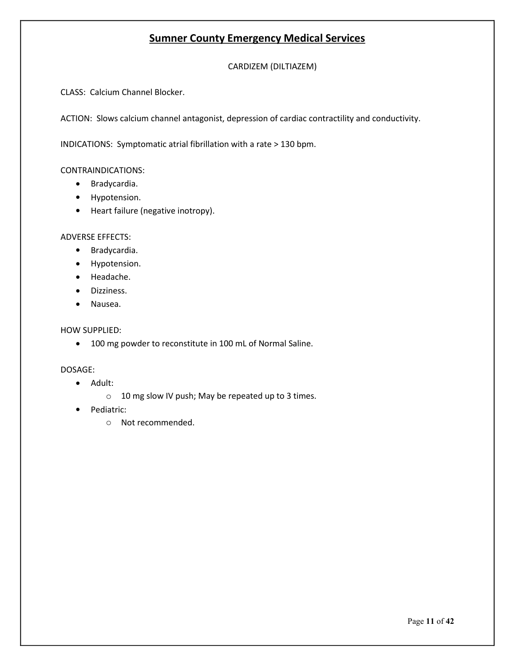CARDIZEM (DILTIAZEM)

CLASS: Calcium Channel Blocker.

ACTION: Slows calcium channel antagonist, depression of cardiac contractility and conductivity.

INDICATIONS: Symptomatic atrial fibrillation with a rate > 130 bpm.

CONTRAINDICATIONS:

- Bradycardia.
- Hypotension.
- Heart failure (negative inotropy).

ADVERSE EFFECTS:

- Bradycardia.
- Hypotension.
- Headache.
- **•** Dizziness.
- Nausea.

#### HOW SUPPLIED:

100 mg powder to reconstitute in 100 mL of Normal Saline.

- Adult:
	- o 10 mg slow IV push; May be repeated up to 3 times.
- Pediatric:
	- o Not recommended.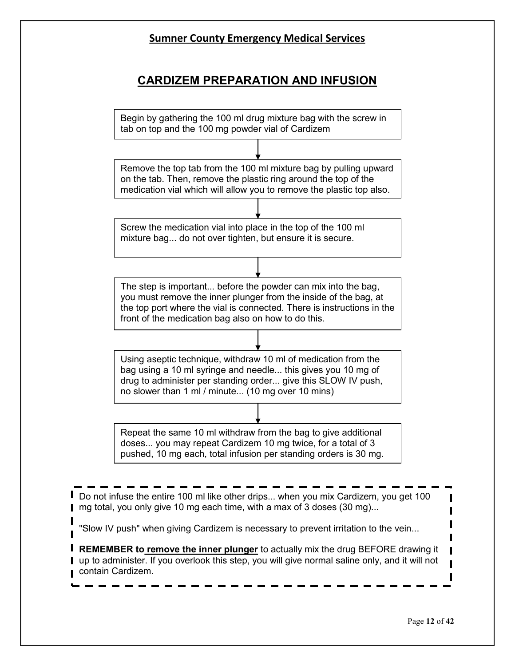# **CARDIZEM PREPARATION AND INFUSION**

Begin by gathering the 100 ml drug mixture bag with the screw in tab on top and the 100 mg powder vial of Cardizem

Remove the top tab from the 100 ml mixture bag by pulling upward on the tab. Then, remove the plastic ring around the top of the medication vial which will allow you to remove the plastic top also.

Screw the medication vial into place in the top of the 100 ml mixture bag... do not over tighten, but ensure it is secure.

The step is important... before the powder can mix into the bag, you must remove the inner plunger from the inside of the bag, at the top port where the vial is connected. There is instructions in the front of the medication bag also on how to do this.

Using aseptic technique, withdraw 10 ml of medication from the bag using a 10 ml syringe and needle... this gives you 10 mg of drug to administer per standing order... give this SLOW IV push, no slower than 1 ml / minute... (10 mg over 10 mins)

Repeat the same 10 ml withdraw from the bag to give additional doses... you may repeat Cardizem 10 mg twice, for a total of 3 pushed, 10 mg each, total infusion per standing orders is 30 mg.

Do not infuse the entire 100 ml like other drips... when you mix Cardizem, you get 100 ■ mg total, you only give 10 mg each time, with a max of 3 doses (30 mg)...

"Slow IV push" when giving Cardizem is necessary to prevent irritation to the vein...

**REMEMBER to remove the inner plunger** to actually mix the drug BEFORE drawing it I up to administer. If you overlook this step, you will give normal saline only, and it will not contain Cardizem.

П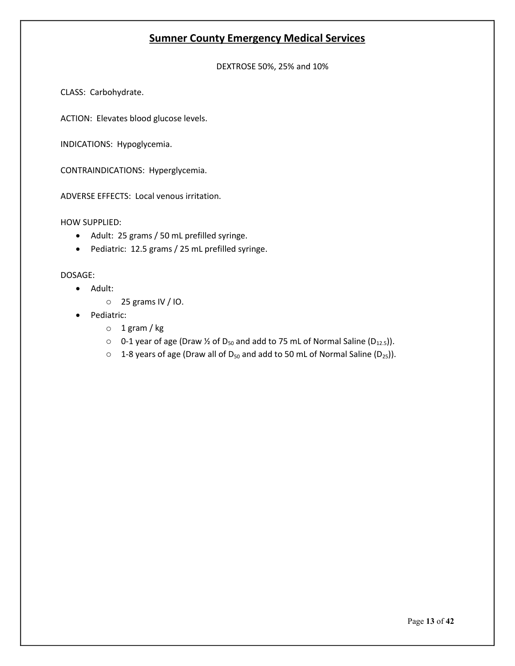DEXTROSE 50%, 25% and 10%

CLASS: Carbohydrate.

ACTION: Elevates blood glucose levels.

INDICATIONS: Hypoglycemia.

CONTRAINDICATIONS: Hyperglycemia.

ADVERSE EFFECTS: Local venous irritation.

HOW SUPPLIED:

- Adult: 25 grams / 50 mL prefilled syringe.
- Pediatric: 12.5 grams / 25 mL prefilled syringe.

- Adult:
	- o 25 grams IV / IO.
- Pediatric:
	- o 1 gram / kg
	- $\circ$  0-1 year of age (Draw ½ of D<sub>50</sub> and add to 75 mL of Normal Saline (D<sub>12.5</sub>)).
	- $\circ$  1-8 years of age (Draw all of D<sub>50</sub> and add to 50 mL of Normal Saline (D<sub>25</sub>)).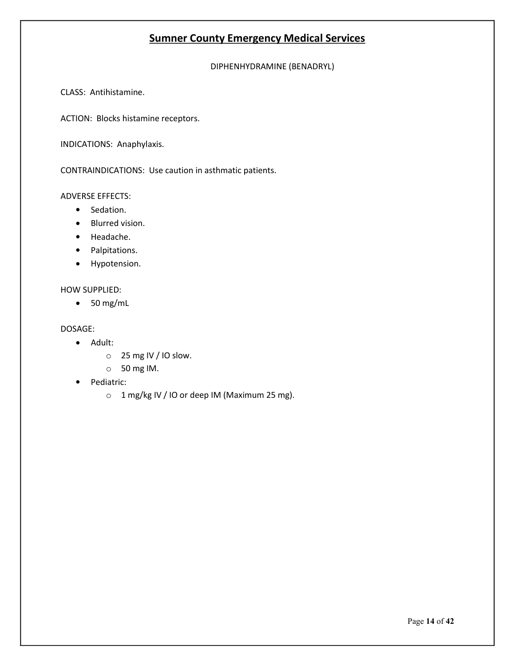DIPHENHYDRAMINE (BENADRYL)

CLASS: Antihistamine.

ACTION: Blocks histamine receptors.

INDICATIONS: Anaphylaxis.

CONTRAINDICATIONS: Use caution in asthmatic patients.

ADVERSE EFFECTS:

- Sedation.
- Blurred vision.
- Headache.
- Palpitations.
- Hypotension.

HOW SUPPLIED:

 $\bullet$  50 mg/mL

- Adult:
	- o 25 mg IV / IO slow.
	- o 50 mg IM.
- Pediatric:
	- o 1 mg/kg IV / IO or deep IM (Maximum 25 mg).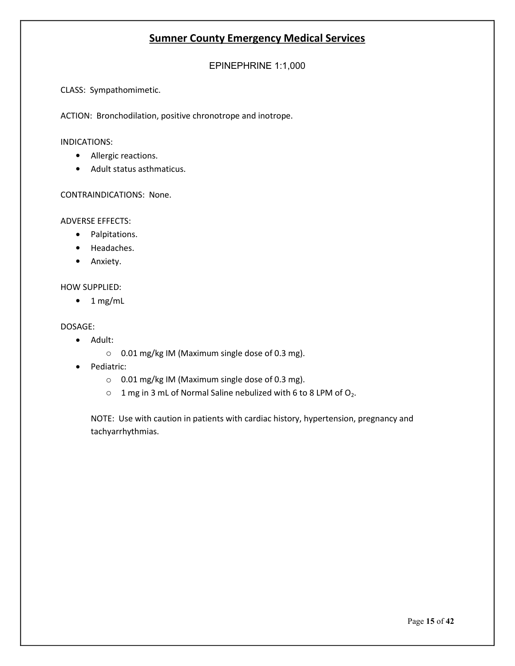EPINEPHRINE 1:1,000

CLASS: Sympathomimetic.

ACTION: Bronchodilation, positive chronotrope and inotrope.

#### INDICATIONS:

- Allergic reactions.
- Adult status asthmaticus.

CONTRAINDICATIONS: None.

ADVERSE EFFECTS:

- Palpitations.
- Headaches.
- Anxiety.

#### HOW SUPPLIED:

 $\bullet$  1 mg/mL

#### DOSAGE:

- Adult:
	- o 0.01 mg/kg IM (Maximum single dose of 0.3 mg).
- Pediatric:
	- o 0.01 mg/kg IM (Maximum single dose of 0.3 mg).
	- $\circ$  1 mg in 3 mL of Normal Saline nebulized with 6 to 8 LPM of  $O_2$ .

NOTE: Use with caution in patients with cardiac history, hypertension, pregnancy and tachyarrhythmias.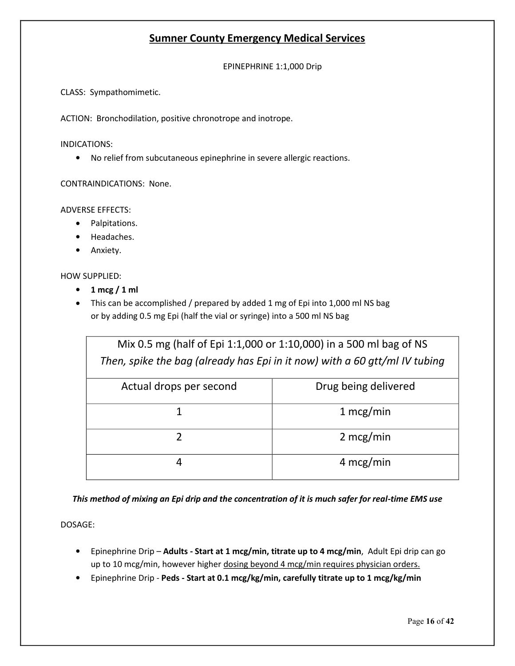EPINEPHRINE 1:1,000 Drip

CLASS: Sympathomimetic.

ACTION: Bronchodilation, positive chronotrope and inotrope.

INDICATIONS:

No relief from subcutaneous epinephrine in severe allergic reactions.

CONTRAINDICATIONS: None.

ADVERSE EFFECTS:

- Palpitations.
- Headaches.
- Anxiety.
- HOW SUPPLIED:
	- **1 mcg / 1 ml**
	- This can be accomplished / prepared by added 1 mg of Epi into 1,000 ml NS bag or by adding 0.5 mg Epi (half the vial or syringe) into a 500 ml NS bag

| Mix 0.5 mg (half of Epi 1:1,000 or 1:10,000) in a 500 ml bag of NS         |                      |
|----------------------------------------------------------------------------|----------------------|
| Then, spike the bag (already has Epi in it now) with a 60 gtt/ml IV tubing |                      |
| Actual drops per second                                                    | Drug being delivered |
| 1                                                                          | $1 \text{~mcg/min}$  |
| っ                                                                          | $2 \text{ mcg/min}$  |
| 4                                                                          | $4 \text{ mcg/min}$  |

*This method of mixing an Epi drip and the concentration of it is much safer for real-time EMS use*

- Epinephrine Drip **Adults - Start at 1 mcg/min, titrate up to 4 mcg/min**, Adult Epi drip can go up to 10 mcg/min, however higher dosing beyond 4 mcg/min requires physician orders.
- Epinephrine Drip **Peds - Start at 0.1 mcg/kg/min, carefully titrate up to 1 mcg/kg/min**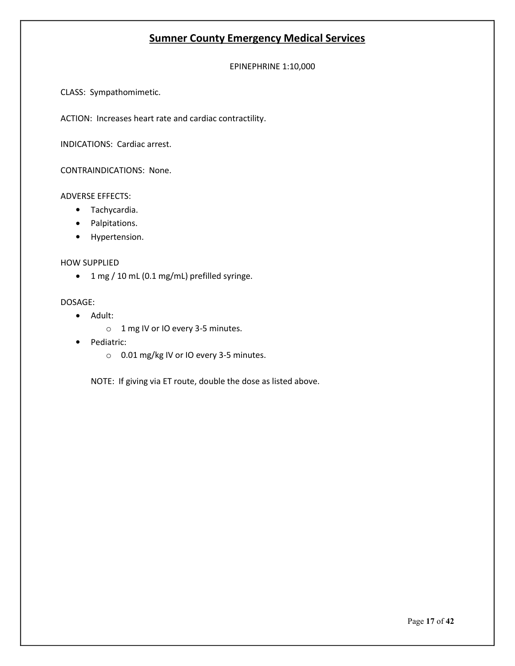EPINEPHRINE 1:10,000

CLASS: Sympathomimetic.

ACTION: Increases heart rate and cardiac contractility.

INDICATIONS: Cardiac arrest.

CONTRAINDICATIONS: None.

#### ADVERSE EFFECTS:

- Tachycardia.
- Palpitations.
- Hypertension.

#### HOW SUPPLIED

1 mg / 10 mL (0.1 mg/mL) prefilled syringe.

#### DOSAGE:

- Adult:
	- o 1 mg IV or IO every 3-5 minutes.
- Pediatric:
	- o 0.01 mg/kg IV or IO every 3-5 minutes.

NOTE: If giving via ET route, double the dose as listed above.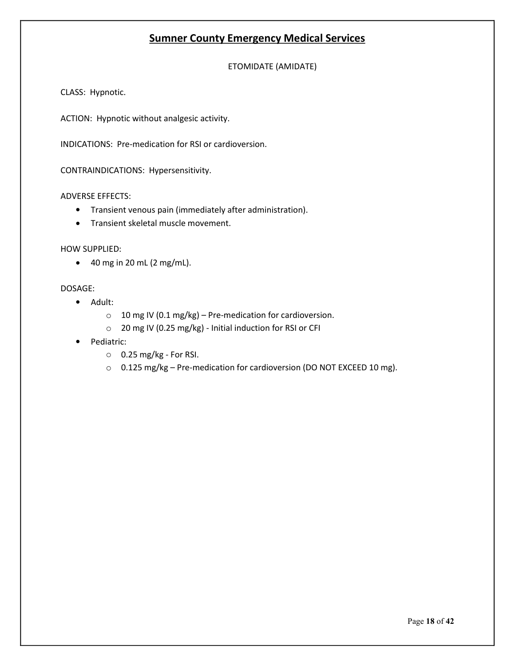ETOMIDATE (AMIDATE)

CLASS: Hypnotic.

ACTION: Hypnotic without analgesic activity.

INDICATIONS: Pre-medication for RSI or cardioversion.

CONTRAINDICATIONS: Hypersensitivity.

#### ADVERSE EFFECTS:

- Transient venous pain (immediately after administration).
- **•** Transient skeletal muscle movement.

#### HOW SUPPLIED:

 $\bullet$  40 mg in 20 mL (2 mg/mL).

- Adult:
	- $\circ$  10 mg IV (0.1 mg/kg) Pre-medication for cardioversion.
	- o 20 mg IV (0.25 mg/kg) Initial induction for RSI or CFI
- Pediatric:
	- $\circ$  0.25 mg/kg For RSI.
	- o 0.125 mg/kg Pre-medication for cardioversion (DO NOT EXCEED 10 mg).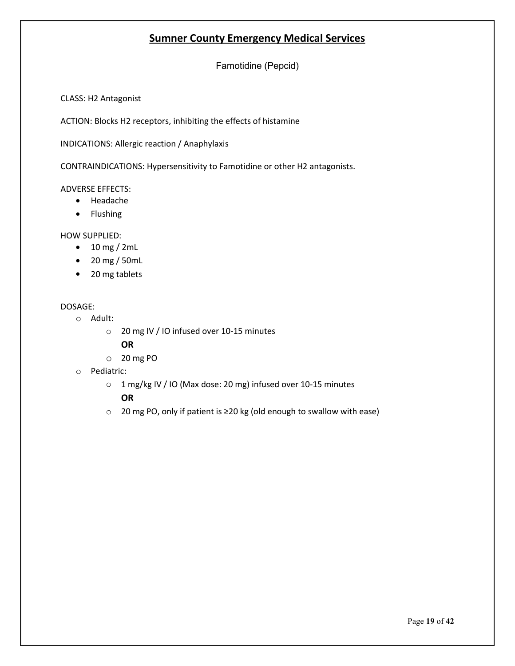Famotidine (Pepcid)

CLASS: H2 Antagonist

ACTION: Blocks H2 receptors, inhibiting the effects of histamine

INDICATIONS: Allergic reaction / Anaphylaxis

CONTRAINDICATIONS: Hypersensitivity to Famotidine or other H2 antagonists.

#### ADVERSE EFFECTS:

- Headache
- Flushing

HOW SUPPLIED:

- $\bullet$  10 mg / 2mL
- 20 mg / 50mL
- 20 mg tablets

#### DOSAGE:

- o Adult:
	- o 20 mg IV / IO infused over 10-15 minutes

#### **OR**

- o 20 mg PO
- o Pediatric:
	- o 1 mg/kg IV / IO (Max dose: 20 mg) infused over 10-15 minutes **OR**
	- o 20 mg PO, only if patient is ≥20 kg (old enough to swallow with ease)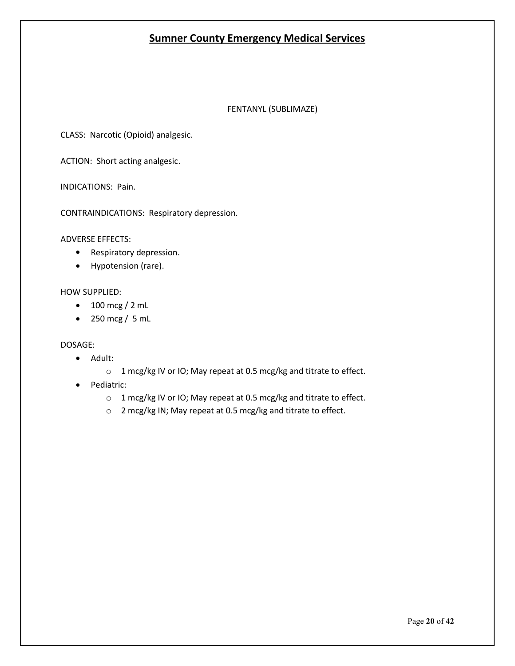#### FENTANYL (SUBLIMAZE)

CLASS: Narcotic (Opioid) analgesic.

ACTION: Short acting analgesic.

INDICATIONS: Pain.

CONTRAINDICATIONS: Respiratory depression.

ADVERSE EFFECTS:

- Respiratory depression.
- Hypotension (rare).

#### HOW SUPPLIED:

- $\bullet$  100 mcg / 2 mL
- $\bullet$  250 mcg / 5 mL

- Adult:
	- o 1 mcg/kg IV or IO; May repeat at 0.5 mcg/kg and titrate to effect.
- Pediatric:
	- o 1 mcg/kg IV or IO; May repeat at 0.5 mcg/kg and titrate to effect.
	- o 2 mcg/kg IN; May repeat at 0.5 mcg/kg and titrate to effect.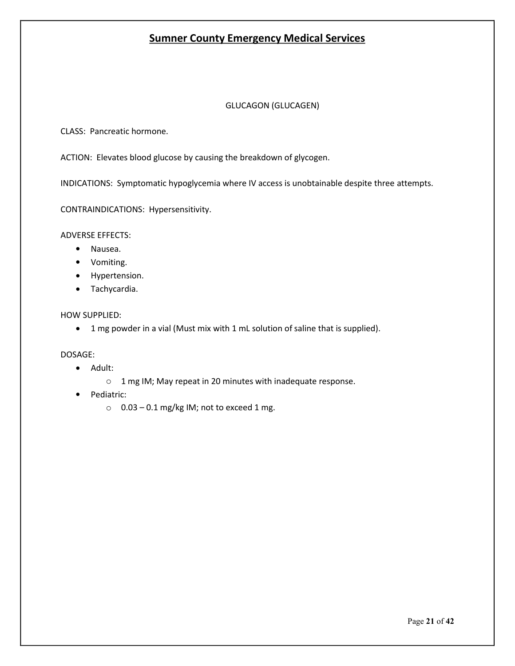#### GLUCAGON (GLUCAGEN)

CLASS: Pancreatic hormone.

ACTION: Elevates blood glucose by causing the breakdown of glycogen.

INDICATIONS: Symptomatic hypoglycemia where IV access is unobtainable despite three attempts.

CONTRAINDICATIONS: Hypersensitivity.

ADVERSE EFFECTS:

- Nausea.
- Vomiting.
- Hypertension.
- Tachycardia.

#### HOW SUPPLIED:

1 mg powder in a vial (Must mix with 1 mL solution of saline that is supplied).

- Adult:
	- o 1 mg IM; May repeat in 20 minutes with inadequate response.
- Pediatric:
	- $\circ$  0.03 0.1 mg/kg IM; not to exceed 1 mg.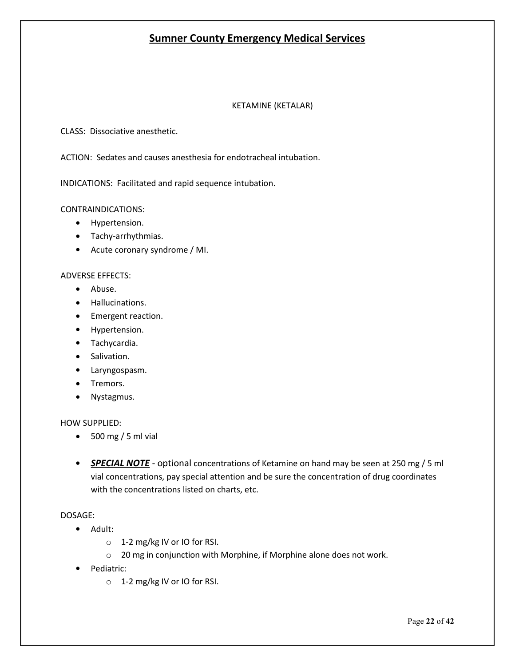#### KETAMINE (KETALAR)

CLASS: Dissociative anesthetic.

ACTION: Sedates and causes anesthesia for endotracheal intubation.

INDICATIONS: Facilitated and rapid sequence intubation.

CONTRAINDICATIONS:

- Hypertension.
- Tachy-arrhythmias.
- Acute coronary syndrome / MI.

#### ADVERSE EFFECTS:

- Abuse.
- Hallucinations.
- **•** Emergent reaction.
- Hypertension.
- Tachycardia.
- **•** Salivation.
- Laryngospasm.
- Tremors.
- Nystagmus.

#### HOW SUPPLIED:

- $\bullet$  500 mg / 5 ml vial
- *SPECIAL NOTE* optional concentrations of Ketamine on hand may be seen at 250 mg / 5 ml vial concentrations, pay special attention and be sure the concentration of drug coordinates with the concentrations listed on charts, etc.

- Adult:
	- o 1-2 mg/kg IV or IO for RSI.
	- o 20 mg in conjunction with Morphine, if Morphine alone does not work.
- Pediatric:
	- o 1-2 mg/kg IV or IO for RSI.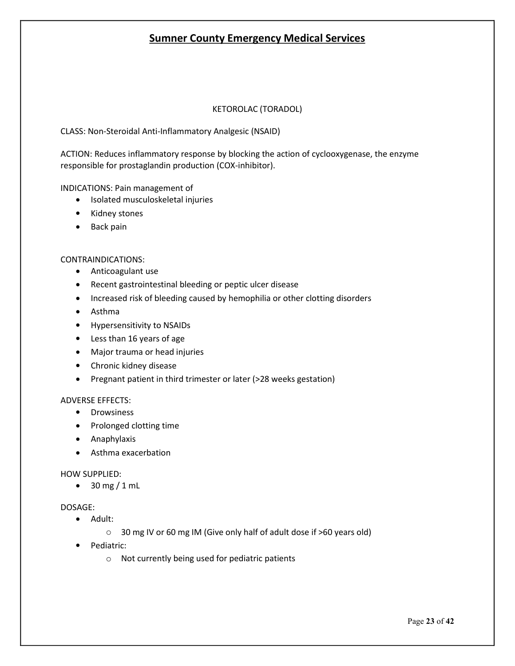#### KETOROLAC (TORADOL)

CLASS: Non-Steroidal Anti-Inflammatory Analgesic (NSAID)

ACTION: Reduces inflammatory response by blocking the action of cyclooxygenase, the enzyme responsible for prostaglandin production (COX-inhibitor).

INDICATIONS: Pain management of

- Isolated musculoskeletal injuries
- Kidney stones
- Back pain

#### CONTRAINDICATIONS:

- Anticoagulant use
- Recent gastrointestinal bleeding or peptic ulcer disease
- Increased risk of bleeding caused by hemophilia or other clotting disorders
- Asthma
- Hypersensitivity to NSAIDs
- Less than 16 years of age
- Major trauma or head injuries
- Chronic kidney disease
- Pregnant patient in third trimester or later (>28 weeks gestation)

#### ADVERSE EFFECTS:

- **•** Drowsiness
- Prolonged clotting time
- Anaphylaxis
- Asthma exacerbation

#### HOW SUPPLIED:

 $\bullet$  30 mg / 1 mL

- Adult:
	- o 30 mg IV or 60 mg IM (Give only half of adult dose if >60 years old)
- Pediatric:
	- o Not currently being used for pediatric patients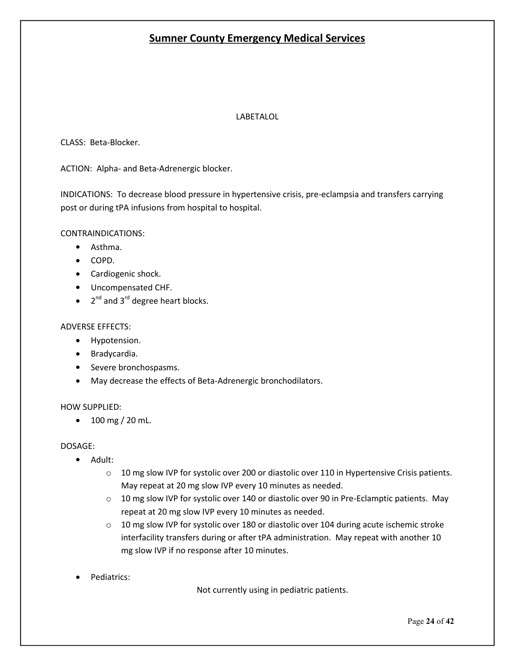#### LABETALOL

CLASS: Beta-Blocker.

ACTION: Alpha- and Beta-Adrenergic blocker.

INDICATIONS: To decrease blood pressure in hypertensive crisis, pre-eclampsia and transfers carrying post or during tPA infusions from hospital to hospital.

CONTRAINDICATIONS:

- Asthma.
- COPD.
- Cardiogenic shock.
- Uncompensated CHF.
- $\bullet$  2<sup>nd</sup> and 3<sup>rd</sup> degree heart blocks.

#### ADVERSE EFFECTS:

- Hypotension.
- Bradycardia.
- Severe bronchospasms.
- May decrease the effects of Beta-Adrenergic bronchodilators.

#### HOW SUPPLIED:

 $\bullet$  100 mg / 20 mL.

DOSAGE:

- Adult:
	- $\circ$  10 mg slow IVP for systolic over 200 or diastolic over 110 in Hypertensive Crisis patients. May repeat at 20 mg slow IVP every 10 minutes as needed.
	- o 10 mg slow IVP for systolic over 140 or diastolic over 90 in Pre-Eclamptic patients. May repeat at 20 mg slow IVP every 10 minutes as needed.
	- $\circ$  10 mg slow IVP for systolic over 180 or diastolic over 104 during acute ischemic stroke interfacility transfers during or after tPA administration. May repeat with another 10 mg slow IVP if no response after 10 minutes.
- Pediatrics:

Not currently using in pediatric patients.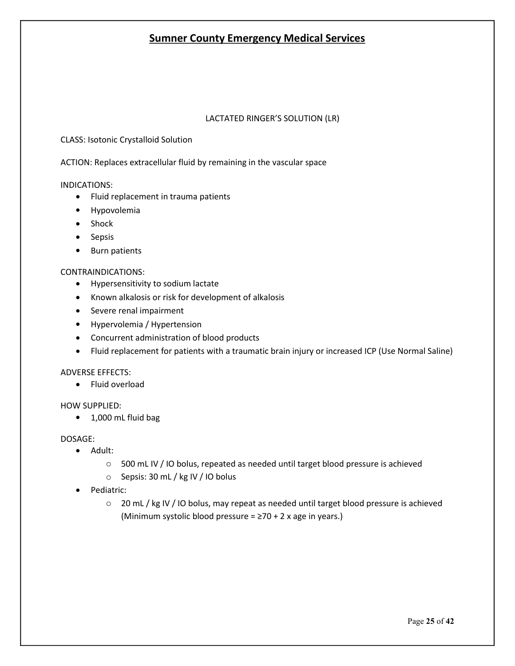#### LACTATED RINGER'S SOLUTION (LR)

CLASS: Isotonic Crystalloid Solution

ACTION: Replaces extracellular fluid by remaining in the vascular space

#### INDICATIONS:

- Fluid replacement in trauma patients
- **•** Hypovolemia
- Shock
- Sepsis
- Burn patients

#### CONTRAINDICATIONS:

- Hypersensitivity to sodium lactate
- Known alkalosis or risk for development of alkalosis
- Severe renal impairment
- Hypervolemia / Hypertension
- Concurrent administration of blood products
- Fluid replacement for patients with a traumatic brain injury or increased ICP (Use Normal Saline)

#### ADVERSE EFFECTS:

• Fluid overload

#### HOW SUPPLIED:

• 1,000 mL fluid bag

- Adult:
	- $\circ$  500 mL IV / IO bolus, repeated as needed until target blood pressure is achieved
	- o Sepsis: 30 mL / kg IV / IO bolus
- Pediatric:
	- o 20 mL / kg IV / IO bolus, may repeat as needed until target blood pressure is achieved (Minimum systolic blood pressure =  $\geq$ 70 + 2 x age in years.)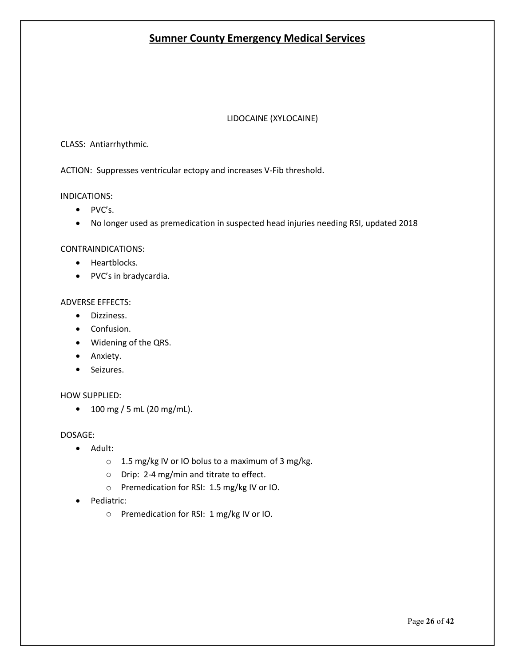#### LIDOCAINE (XYLOCAINE)

#### CLASS: Antiarrhythmic.

ACTION: Suppresses ventricular ectopy and increases V-Fib threshold.

#### INDICATIONS:

- PVC's.
- No longer used as premedication in suspected head injuries needing RSI, updated 2018

#### CONTRAINDICATIONS:

- Heartblocks.
- PVC's in bradycardia.

#### ADVERSE EFFECTS:

- Dizziness.
- Confusion.
- Widening of the QRS.
- Anxiety.
- Seizures.

#### HOW SUPPLIED:

 $\bullet$  100 mg / 5 mL (20 mg/mL).

- Adult:
	- o 1.5 mg/kg IV or IO bolus to a maximum of 3 mg/kg.
	- o Drip: 2-4 mg/min and titrate to effect.
	- o Premedication for RSI: 1.5 mg/kg IV or IO.
- Pediatric:
	- o Premedication for RSI: 1 mg/kg IV or IO.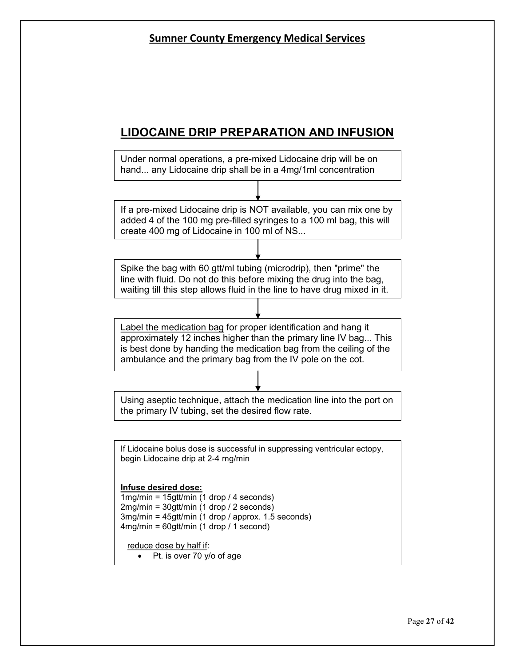# **LIDOCAINE DRIP PREPARATION AND INFUSION**

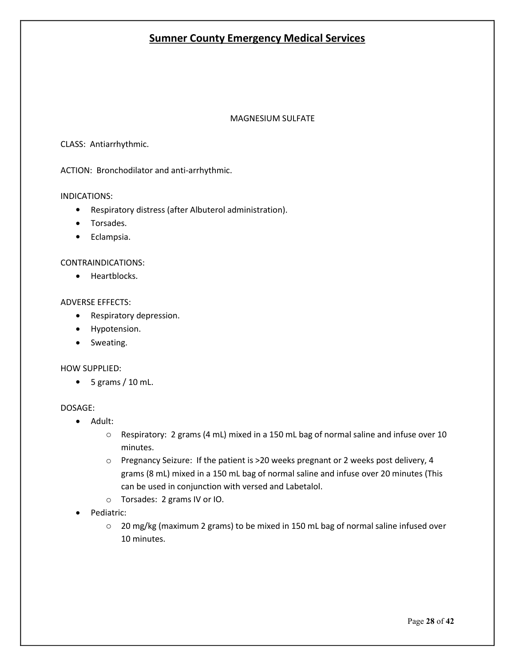#### MAGNESIUM SULFATE

#### CLASS: Antiarrhythmic.

ACTION: Bronchodilator and anti-arrhythmic.

#### INDICATIONS:

- Respiratory distress (after Albuterol administration).
- Torsades.
- **•** Eclampsia.

#### CONTRAINDICATIONS:

• Heartblocks.

#### ADVERSE EFFECTS:

- Respiratory depression.
- Hypotension.
- Sweating.

#### HOW SUPPLIED:

 $\bullet$  5 grams / 10 mL.

- Adult:
	- $\circ$  Respiratory: 2 grams (4 mL) mixed in a 150 mL bag of normal saline and infuse over 10 minutes.
	- o Pregnancy Seizure: If the patient is >20 weeks pregnant or 2 weeks post delivery, 4 grams (8 mL) mixed in a 150 mL bag of normal saline and infuse over 20 minutes (This can be used in conjunction with versed and Labetalol.
	- o Torsades: 2 grams IV or IO.
- Pediatric:
	- o 20 mg/kg (maximum 2 grams) to be mixed in 150 mL bag of normal saline infused over 10 minutes.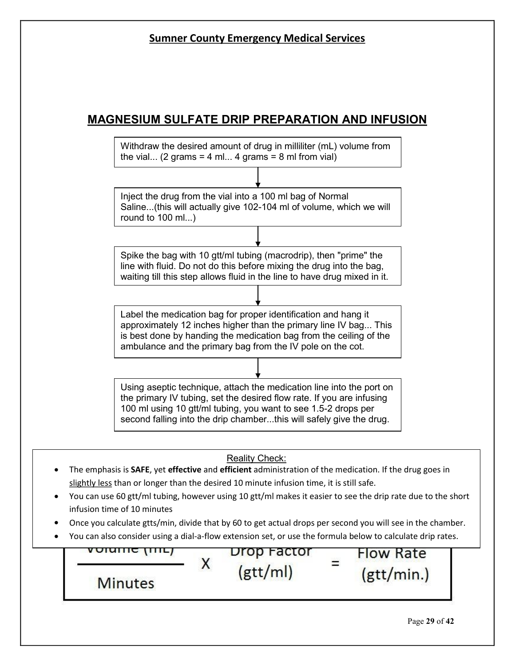## **MAGNESIUM SULFATE DRIP PREPARATION AND INFUSION**

Withdraw the desired amount of drug in milliliter (mL) volume from the vial... (2 grams = 4 ml... 4 grams = 8 ml from vial)

Inject the drug from the vial into a 100 ml bag of Normal Saline...(this will actually give 102-104 ml of volume, which we will round to 100 ml...)

Spike the bag with 10 gtt/ml tubing (macrodrip), then "prime" the line with fluid. Do not do this before mixing the drug into the bag, waiting till this step allows fluid in the line to have drug mixed in it.

Label the medication bag for proper identification and hang it approximately 12 inches higher than the primary line IV bag... This is best done by handing the medication bag from the ceiling of the ambulance and the primary bag from the IV pole on the cot.

Using aseptic technique, attach the medication line into the port on the primary IV tubing, set the desired flow rate. If you are infusing 100 ml using 10 gtt/ml tubing, you want to see 1.5-2 drops per second falling into the drip chamber...this will safely give the drug.

#### Reality Check:

- The emphasis is **SAFE**, yet **effective** and **efficient** administration of the medication. If the drug goes in slightly less than or longer than the desired 10 minute infusion time, it is still safe.
- You can use 60 gtt/ml tubing, however using 10 gtt/ml makes it easier to see the drip rate due to the short infusion time of 10 minutes
- Once you calculate gtts/min, divide that by 60 to get actual drops per second you will see in the chamber.
- You can also consider using a dial-a-flow extension set, or use the formula below to calculate drip rates.

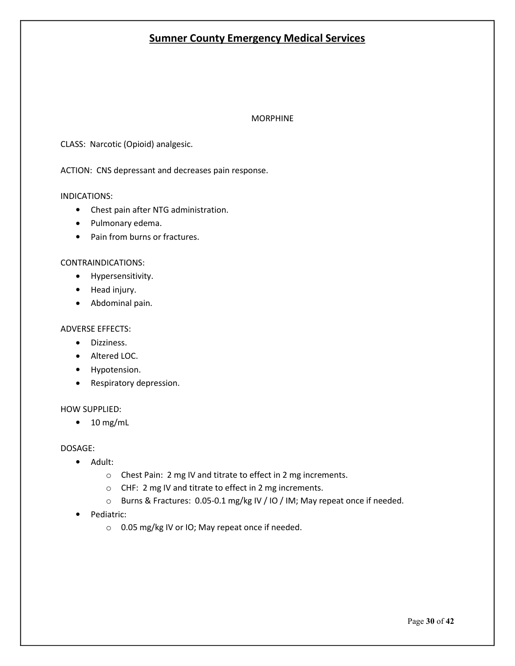#### MORPHINE

CLASS: Narcotic (Opioid) analgesic.

ACTION: CNS depressant and decreases pain response.

#### INDICATIONS:

- Chest pain after NTG administration.
- Pulmonary edema.
- Pain from burns or fractures.

#### CONTRAINDICATIONS:

- **•** Hypersensitivity.
- Head injury.
- Abdominal pain.

#### ADVERSE EFFECTS:

- Dizziness.
- Altered LOC.
- Hypotension.
- Respiratory depression.

#### HOW SUPPLIED:

 $\bullet$  10 mg/mL

- Adult:
	- o Chest Pain: 2 mg IV and titrate to effect in 2 mg increments.
	- o CHF: 2 mg IV and titrate to effect in 2 mg increments.
	- o Burns & Fractures: 0.05-0.1 mg/kg IV / IO / IM; May repeat once if needed.
- Pediatric:
	- o 0.05 mg/kg IV or IO; May repeat once if needed.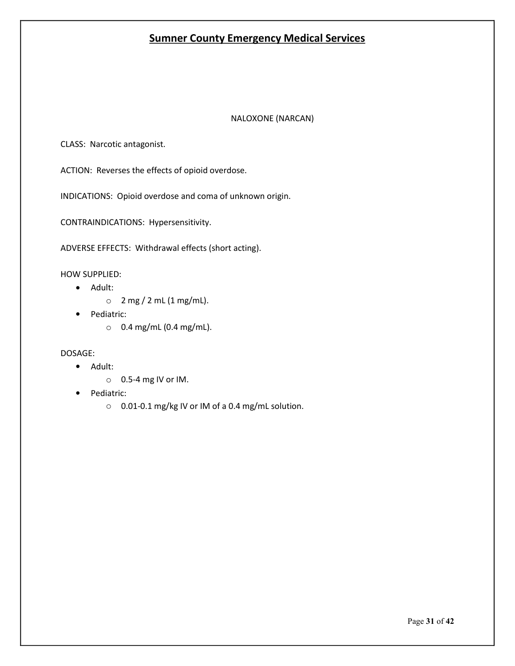#### NALOXONE (NARCAN)

CLASS: Narcotic antagonist.

ACTION: Reverses the effects of opioid overdose.

INDICATIONS: Opioid overdose and coma of unknown origin.

CONTRAINDICATIONS: Hypersensitivity.

ADVERSE EFFECTS: Withdrawal effects (short acting).

HOW SUPPLIED:

- Adult:
	- $\circ$  2 mg / 2 mL (1 mg/mL).
- Pediatric:
	- o 0.4 mg/mL (0.4 mg/mL).

- Adult:
	- $\circ$  0.5-4 mg IV or IM.
- Pediatric:
	- o 0.01-0.1 mg/kg IV or IM of a 0.4 mg/mL solution.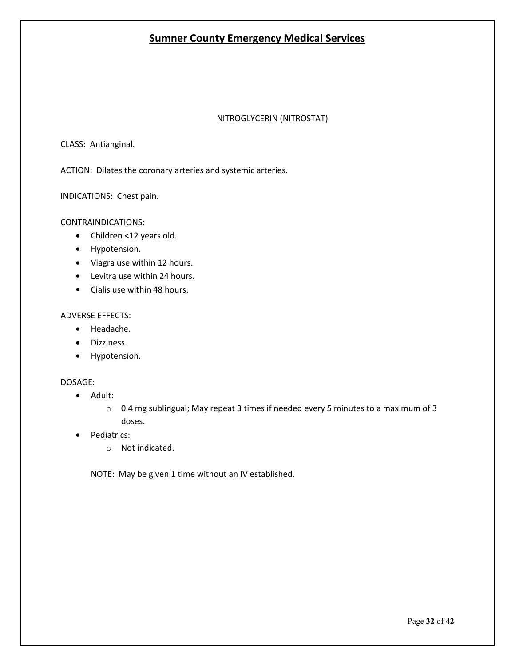#### NITROGLYCERIN (NITROSTAT)

CLASS: Antianginal.

ACTION: Dilates the coronary arteries and systemic arteries.

INDICATIONS: Chest pain.

#### CONTRAINDICATIONS:

- Children <12 years old.
- **•** Hypotension.
- Viagra use within 12 hours.
- Levitra use within 24 hours.
- Cialis use within 48 hours.

#### ADVERSE EFFECTS:

- Headache.
- **•** Dizziness.
- Hypotension.

#### DOSAGE:

- Adult:
	- $\circ$  0.4 mg sublingual; May repeat 3 times if needed every 5 minutes to a maximum of 3 doses.
- Pediatrics:
	- o Not indicated.

NOTE: May be given 1 time without an IV established.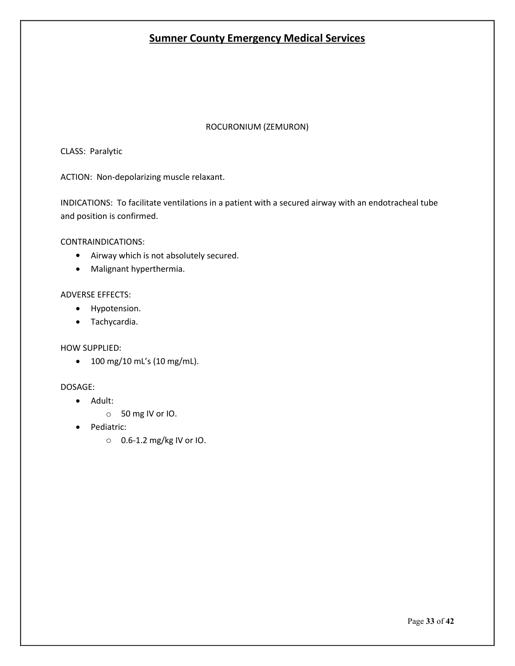#### ROCURONIUM (ZEMURON)

CLASS: Paralytic

ACTION: Non-depolarizing muscle relaxant.

INDICATIONS: To facilitate ventilations in a patient with a secured airway with an endotracheal tube and position is confirmed.

#### CONTRAINDICATIONS:

- Airway which is not absolutely secured.
- Malignant hyperthermia.

#### ADVERSE EFFECTS:

- Hypotension.
- Tachycardia.

#### HOW SUPPLIED:

• 100 mg/10 mL's (10 mg/mL).

- Adult:
	- o 50 mg IV or IO.
- Pediatric:
	- o 0.6-1.2 mg/kg IV or IO.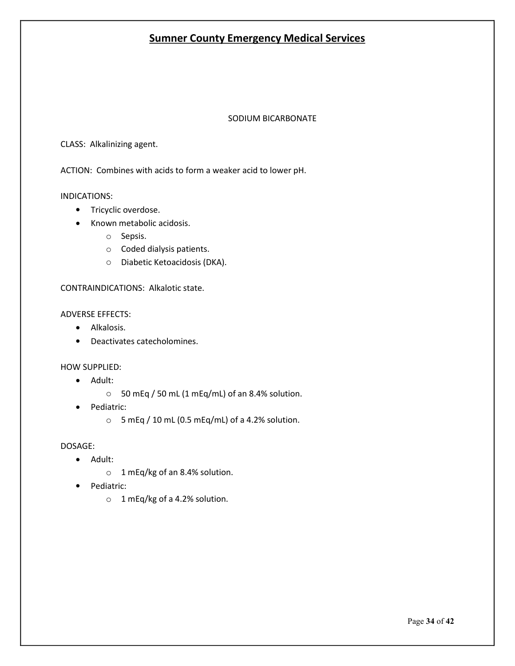#### SODIUM BICARBONATE

#### CLASS: Alkalinizing agent.

ACTION: Combines with acids to form a weaker acid to lower pH.

#### INDICATIONS:

- Tricyclic overdose.
- Known metabolic acidosis.
	- o Sepsis.
	- o Coded dialysis patients.
	- o Diabetic Ketoacidosis (DKA).

#### CONTRAINDICATIONS: Alkalotic state.

#### ADVERSE EFFECTS:

- Alkalosis.
- Deactivates catecholomines.

#### HOW SUPPLIED:

- Adult:
	- o 50 mEq / 50 mL (1 mEq/mL) of an 8.4% solution.
- Pediatric:
	- $\circ$  5 mEq / 10 mL (0.5 mEq/mL) of a 4.2% solution.

- Adult:
	- o 1 mEq/kg of an 8.4% solution.
- Pediatric:
	- o 1 mEq/kg of a 4.2% solution.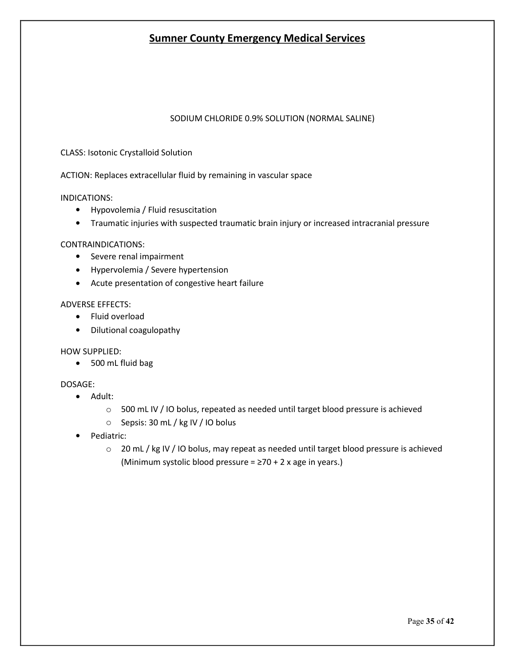#### SODIUM CHLORIDE 0.9% SOLUTION (NORMAL SALINE)

#### CLASS: Isotonic Crystalloid Solution

ACTION: Replaces extracellular fluid by remaining in vascular space

#### INDICATIONS:

- Hypovolemia / Fluid resuscitation
- Traumatic injuries with suspected traumatic brain injury or increased intracranial pressure

#### CONTRAINDICATIONS:

- Severe renal impairment
- Hypervolemia / Severe hypertension
- Acute presentation of congestive heart failure

#### ADVERSE EFFECTS:

- Fluid overload
- Dilutional coagulopathy

#### HOW SUPPLIED:

500 mL fluid bag

- Adult:
	- $\circ$  500 mL IV / IO bolus, repeated as needed until target blood pressure is achieved
	- o Sepsis: 30 mL / kg IV / IO bolus
- Pediatric:
	- $\circ$  20 mL / kg IV / IO bolus, may repeat as needed until target blood pressure is achieved (Minimum systolic blood pressure =  $\geq$ 70 + 2 x age in years.)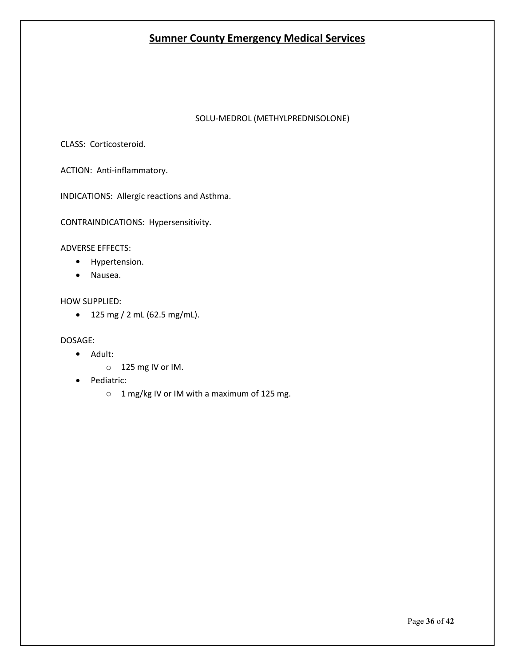#### SOLU-MEDROL (METHYLPREDNISOLONE)

CLASS: Corticosteroid.

ACTION: Anti-inflammatory.

INDICATIONS: Allergic reactions and Asthma.

CONTRAINDICATIONS: Hypersensitivity.

ADVERSE EFFECTS:

- Hypertension.
- Nausea.

#### HOW SUPPLIED:

 $\bullet$  125 mg / 2 mL (62.5 mg/mL).

- Adult:
	- o 125 mg IV or IM.
- Pediatric:
	- o 1 mg/kg IV or IM with a maximum of 125 mg.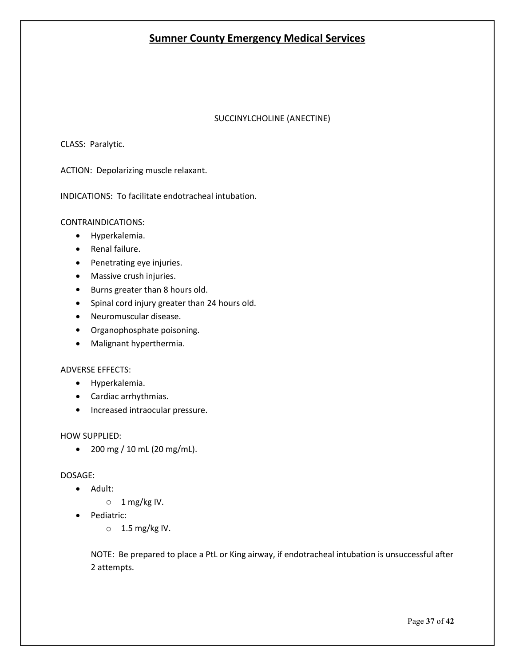#### SUCCINYLCHOLINE (ANECTINE)

CLASS: Paralytic.

ACTION: Depolarizing muscle relaxant.

INDICATIONS: To facilitate endotracheal intubation.

CONTRAINDICATIONS:

- Hyperkalemia.
- Renal failure.
- Penetrating eye injuries.
- Massive crush injuries.
- Burns greater than 8 hours old.
- Spinal cord injury greater than 24 hours old.
- Neuromuscular disease.
- Organophosphate poisoning.
- Malignant hyperthermia.

#### ADVERSE EFFECTS:

- Hyperkalemia.
- Cardiac arrhythmias.
- Increased intraocular pressure.

#### HOW SUPPLIED:

 $\bullet$  200 mg / 10 mL (20 mg/mL).

#### DOSAGE:

- Adult:
	- $\circ$  1 mg/kg IV.
- Pediatric:
	- $\circ$  1.5 mg/kg IV.

NOTE: Be prepared to place a PtL or King airway, if endotracheal intubation is unsuccessful after 2 attempts.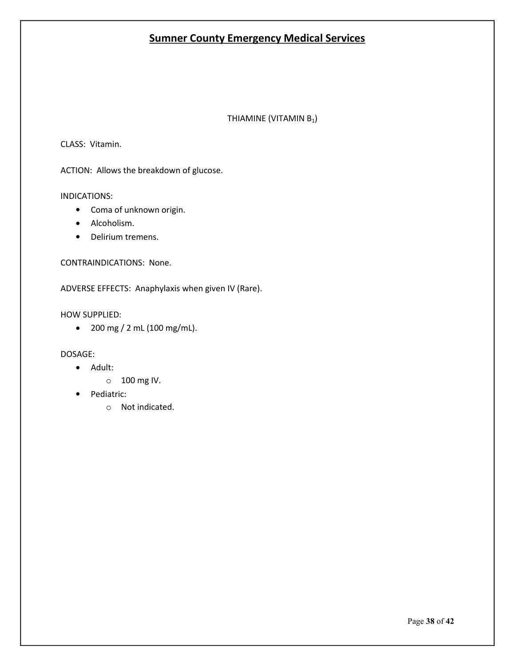THIAMINE (VITAMIN B<sub>1</sub>)

CLASS: Vitamin.

ACTION: Allows the breakdown of glucose.

INDICATIONS:

- Coma of unknown origin.
- Alcoholism.
- Delirium tremens.

CONTRAINDICATIONS: None.

ADVERSE EFFECTS: Anaphylaxis when given IV (Rare).

HOW SUPPLIED:

 $\bullet$  200 mg / 2 mL (100 mg/mL).

- Adult:
	- o 100 mg IV.
- Pediatric:
	- o Not indicated.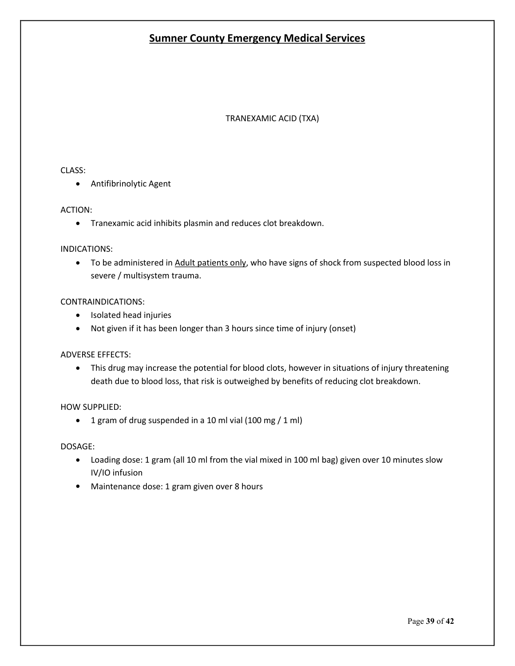#### TRANEXAMIC ACID (TXA)

#### CLASS:

Antifibrinolytic Agent

#### ACTION:

Tranexamic acid inhibits plasmin and reduces clot breakdown.

#### INDICATIONS:

• To be administered in Adult patients only, who have signs of shock from suspected blood loss in severe / multisystem trauma.

#### CONTRAINDICATIONS:

- Isolated head injuries
- Not given if it has been longer than 3 hours since time of injury (onset)

#### ADVERSE EFFECTS:

• This drug may increase the potential for blood clots, however in situations of injury threatening death due to blood loss, that risk is outweighed by benefits of reducing clot breakdown.

#### HOW SUPPLIED:

1 gram of drug suspended in a 10 ml vial (100 mg / 1 ml)

- Loading dose: 1 gram (all 10 ml from the vial mixed in 100 ml bag) given over 10 minutes slow IV/IO infusion
- Maintenance dose: 1 gram given over 8 hours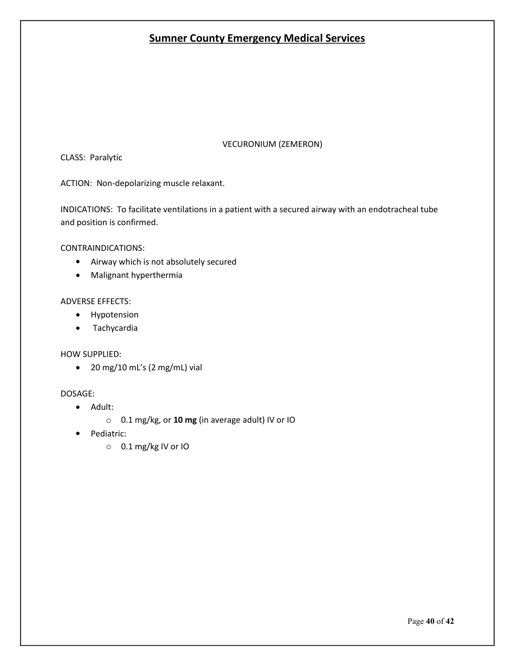#### VECURONIUM (ZEMERON)

CLASS: Paralytic

ACTION: Non-depolarizing muscle relaxant.

INDICATIONS: To facilitate ventilations in a patient with a secured airway with an endotracheal tube and position is confirmed.

CONTRAINDICATIONS:

- Airway which is not absolutely secured
- Malignant hyperthermia

#### ADVERSE EFFECTS:

- Hypotension
- Tachycardia

#### HOW SUPPLIED:

20 mg/10 mL's (2 mg/mL) vial

- Adult:
	- o 0.1 mg/kg, or **10 mg** (in average adult) IV or IO
- Pediatric:
	- o 0.1 mg/kg IV or IO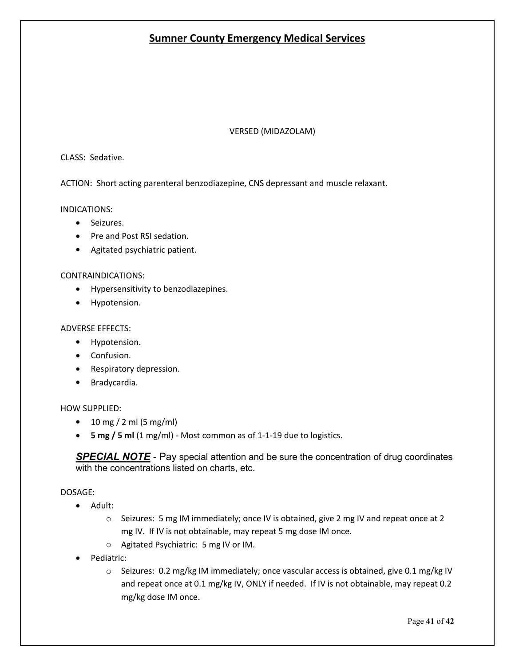#### VERSED (MIDAZOLAM)

#### CLASS: Sedative.

ACTION: Short acting parenteral benzodiazepine, CNS depressant and muscle relaxant.

INDICATIONS:

- Seizures.
- Pre and Post RSI sedation.
- Agitated psychiatric patient.

#### CONTRAINDICATIONS:

- Hypersensitivity to benzodiazepines.
- Hypotension.

#### ADVERSE EFFECTS:

- Hypotension.
- Confusion.
- Respiratory depression.
- Bradycardia.

#### HOW SUPPLIED:

- $10 \, \text{mg} / 2 \, \text{ml}$  (5 mg/ml)
- **5 mg / 5 ml** (1 mg/ml) Most common as of 1-1-19 due to logistics.

**SPECIAL NOTE** - Pay special attention and be sure the concentration of drug coordinates with the concentrations listed on charts, etc.

- Adult:
	- o Seizures: 5 mg IM immediately; once IV is obtained, give 2 mg IV and repeat once at 2 mg IV. If IV is not obtainable, may repeat 5 mg dose IM once.
	- o Agitated Psychiatric: 5 mg IV or IM.
- Pediatric:
	- $\circ$  Seizures: 0.2 mg/kg IM immediately; once vascular access is obtained, give 0.1 mg/kg IV and repeat once at 0.1 mg/kg IV, ONLY if needed. If IV is not obtainable, may repeat 0.2 mg/kg dose IM once.